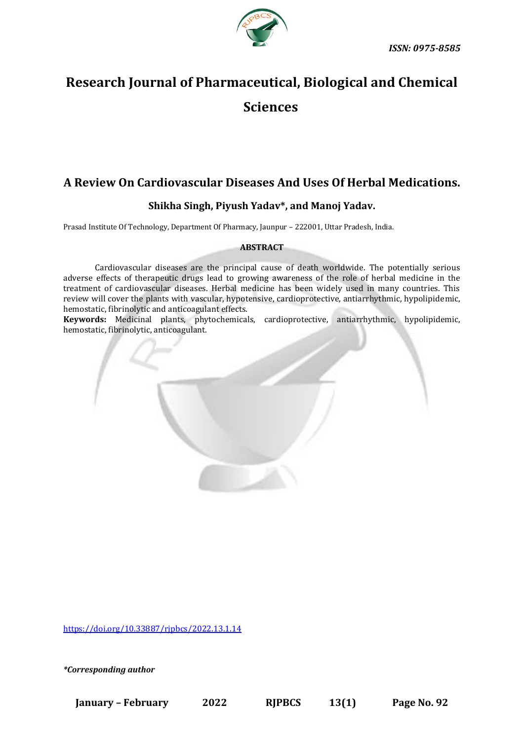

# **Research Journal of Pharmaceutical, Biological and Chemical Sciences**

# **A Review On Cardiovascular Diseases And Uses Of Herbal Medications.**

# **Shikha Singh, Piyush Yadav\*, and Manoj Yadav.**

Prasad Institute Of Technology, Department Of Pharmacy, Jaunpur – 222001, Uttar Pradesh, India.

# **ABSTRACT**

Cardiovascular diseases are the principal cause of death worldwide. The potentially serious adverse effects of therapeutic drugs lead to growing awareness of the role of herbal medicine in the treatment of cardiovascular diseases. Herbal medicine has been widely used in many countries. This review will cover the plants with vascular, hypotensive, cardioprotective, antiarrhythmic, hypolipidemic, hemostatic, fibrinolytic and anticoagulant effects.

**Keywords:** Medicinal plants, phytochemicals, cardioprotective, antiarrhythmic, hypolipidemic, hemostatic, fibrinolytic, anticoagulant.



<https://doi.org/10.33887/rjpbcs/2022.13.1.14>

*\*Corresponding author*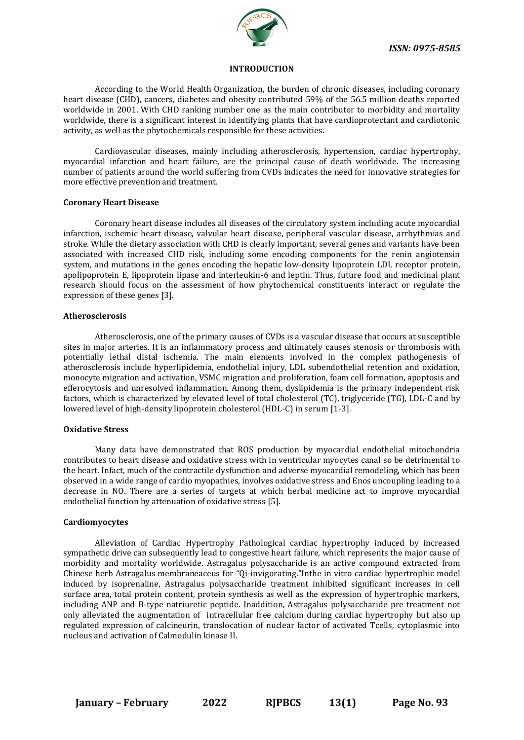

# **INTRODUCTION**

According to the World Health Organization, the burden of chronic diseases, including coronary heart disease (CHD), cancers, diabetes and obesity contributed 59% of the 56.5 million deaths reported worldwide in 2001. With CHD ranking number one as the main contributor to morbidity and mortality worldwide, there is a significant interest in identifying plants that have cardioprotectant and cardiotonic activity, as well as the phytochemicals responsible for these activities.

Cardiovascular diseases, mainly including atherosclerosis, hypertension, cardiac hypertrophy, myocardial infarction and heart failure, are the principal cause of death worldwide. The increasing number of patients around the world suffering from CVDs indicates the need for innovative strategies for more effective prevention and treatment.

# **Coronary Heart Disease**

Coronary heart disease includes all diseases of the circulatory system including acute myocardial infarction, ischemic heart disease, valvular heart disease, peripheral vascular disease, arrhythmias and stroke. While the dietary association with CHD is clearly important, several genes and variants have been associated with increased CHD risk, including some encoding components for the renin angiotensin system, and mutations in the genes encoding the hepatic low-density lipoprotein LDL receptor protein, apolipoprotein E, lipoprotein lipase and interleukin-6 and leptin. Thus, future food and medicinal plant research should focus on the assessment of how phytochemical constituents interact or regulate the expression of these genes [3].

#### **Atherosclerosis**

Atherosclerosis, one of the primary causes of CVDs is a vascular disease that occurs at susceptible sites in major arteries. It is an inflammatory process and ultimately causes stenosis or thrombosis with potentially lethal distal ischemia. The main elements involved in the complex pathogenesis of atherosclerosis include hyperlipidemia, endothelial injury, LDL subendothelial retention and oxidation, monocyte migration and activation, VSMC migration and proliferation, foam cell formation, apoptosis and efferocytosis and unresolved inflammation. Among them, dyslipidemia is the primary independent risk factors, which is characterized by elevated level of total cholesterol (TC), triglyceride (TG), LDL-C and by lowered level of high-density lipoprotein cholesterol (HDL-C) in serum [1-3].

# **Oxidative Stress**

Many data have demonstrated that ROS production by myocardial endothelial mitochondria contributes to heart disease and oxidative stress with in ventricular myocytes canal so be detrimental to the heart. Infact, much of the contractile dysfunction and adverse myocardial remodeling, which has been observed in a wide range of cardio myopathies, involves oxidative stress and Enos uncoupling leading to a decrease in NO. There are a series of targets at which herbal medicine act to improve myocardial endothelial function by attenuation of oxidative stress [5].

# **Cardiomyocytes**

Alleviation of Cardiac Hypertrophy Pathological cardiac hypertrophy induced by increased sympathetic drive can subsequently lead to congestive heart failure, which represents the major cause of morbidity and mortality worldwide. Astragalus polysaccharide is an active compound extracted from Chinese herb Astragalus membraneaceus for "Qi-invigorating."Inthe in vitro cardiac hypertrophic model induced by isoprenaline, Astragalus polysaccharide treatment inhibited significant increases in cell surface area, total protein content, protein synthesis as well as the expression of hypertrophic markers, including ANP and B-type natriuretic peptide. Inaddition, Astragalus polysaccharide pre treatment not only alleviated the augmentation of intracellular free calcium during cardiac hypertrophy but also up regulated expression of calcineurin, translocation of nuclear factor of activated Tcells, cytoplasmic into nucleus and activation of Calmodulin kinase II.

**January – February 2022 RJPBCS 13(1) Page No. 93**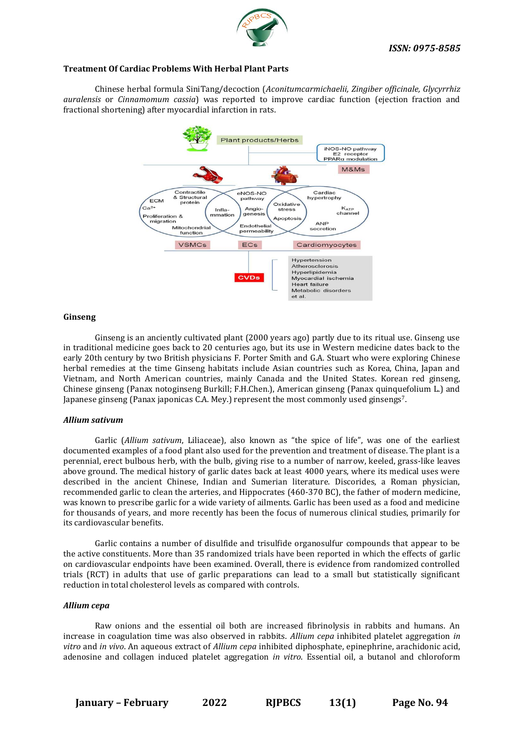

#### **Treatment Of Cardiac Problems With Herbal Plant Parts**

Chinese herbal formula SiniTang/decoction (*Aconitumcarmichaelii, Zingiber officinale, Glycyrrhiz auralensis* or *Cinnamomum cassia*) was reported to improve cardiac function (ejection fraction and fractional shortening) after myocardial infarction in rats.



# **Ginseng**

Ginseng is an anciently cultivated plant (2000 years ago) partly due to its ritual use. Ginseng use in traditional medicine goes back to 20 centuries ago, but its use in Western medicine dates back to the early 20th century by two British physicians F. Porter Smith and G.A. Stuart who were exploring Chinese herbal remedies at the time Ginseng habitats include Asian countries such as Korea, China, Japan and Vietnam, and North American countries, mainly Canada and the United States. Korean red ginseng, Chinese ginseng (Panax notoginseng Burkill; F.H.Chen.), American ginseng (Panax quinquefolium L.) and Japanese ginseng (Panax japonicas C.A. Mey.) represent the most commonly used ginsengs7.

#### *Allium sativum*

Garlic (*Allium sativum*, Liliaceae), also known as "the spice of life", was one of the earliest documented examples of a food plant also used for the prevention and treatment of disease. The plant is a perennial, erect bulbous herb, with the bulb, giving rise to a number of narrow, keeled, grass-like leaves above ground. The medical history of garlic dates back at least 4000 years, where its medical uses were described in the ancient Chinese, Indian and Sumerian literature. Discorides, a Roman physician, recommended garlic to clean the arteries, and Hippocrates (460-370 BC), the father of modern medicine, was known to prescribe garlic for a wide variety of ailments. Garlic has been used as a food and medicine for thousands of years, and more recently has been the focus of numerous clinical studies, primarily for its cardiovascular benefits.

Garlic contains a number of disulfide and trisulfide organosulfur compounds that appear to be the active constituents. More than 35 randomized trials have been reported in which the effects of garlic on cardiovascular endpoints have been examined. Overall, there is evidence from randomized controlled trials (RCT) in adults that use of garlic preparations can lead to a small but statistically significant reduction in total cholesterol levels as compared with controls.

#### *Allium cepa*

Raw onions and the essential oil both are increased fibrinolysis in rabbits and humans. An increase in coagulation time was also observed in rabbits. *Allium cepa* inhibited platelet aggregation *in vitro* and *in vivo*. An aqueous extract of *Allium cepa* inhibited diphosphate, epinephrine, arachidonic acid, adenosine and collagen induced platelet aggregation *in vitro*. Essential oil, a butanol and chloroform